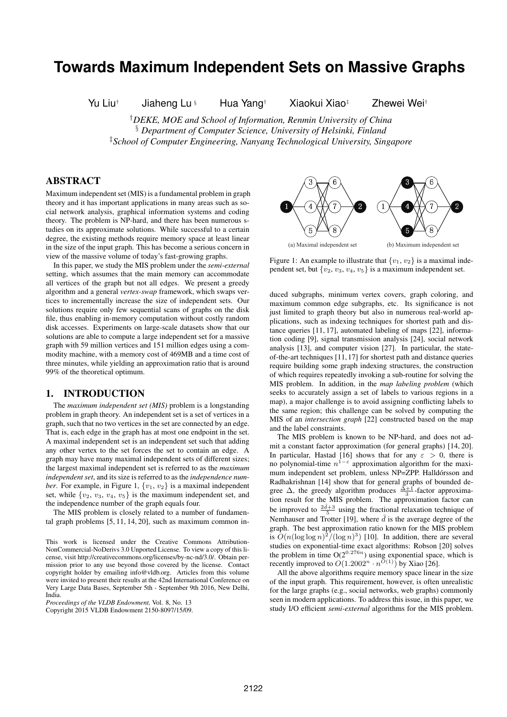# **Towards Maximum Independent Sets on Massive Graphs**

Yu Liu*†* Jiaheng Lu *§* Hua Yang*†* Xiaokui Xiao*‡* Zhewei Wei*†*

*†DEKE, MOE and School of Information, Renmin University of China § Department of Computer Science, University of Helsinki, Finland ‡School of Computer Engineering, Nanyang Technological University, Singapore*

# ABSTRACT

Maximum independent set (MIS) is a fundamental problem in graph theory and it has important applications in many areas such as social network analysis, graphical information systems and coding theory. The problem is NP-hard, and there has been numerous studies on its approximate solutions. While successful to a certain degree, the existing methods require memory space at least linear in the size of the input graph. This has become a serious concern in view of the massive volume of today's fast-growing graphs.

In this paper, we study the MIS problem under the *semi-external* setting, which assumes that the main memory can accommodate all vertices of the graph but not all edges. We present a greedy algorithm and a general *vertex-swap* framework, which swaps vertices to incrementally increase the size of independent sets. Our solutions require only few sequential scans of graphs on the disk file, thus enabling in-memory computation without costly random disk accesses. Experiments on large-scale datasets show that our solutions are able to compute a large independent set for a massive graph with 59 million vertices and 151 million edges using a commodity machine, with a memory cost of 469MB and a time cost of three minutes, while yielding an approximation ratio that is around 99% of the theoretical optimum.

# 1. INTRODUCTION

The *maximum independent set (MIS)* problem is a longstanding problem in graph theory. An independent set is a set of vertices in a graph, such that no two vertices in the set are connected by an edge. That is, each edge in the graph has at most one endpoint in the set. A maximal independent set is an independent set such that adding any other vertex to the set forces the set to contain an edge. A graph may have many maximal independent sets of different sizes; the largest maximal independent set is referred to as the *maximum independent set*, and its size is referred to as the *independence number*. For example, in Figure 1, *{v*1, *v*2*}* is a maximal independent set, while  $\{v_2, v_3, v_4, v_5\}$  is the maximum independent set, and the independence number of the graph equals four.

The MIS problem is closely related to a number of fundamental graph problems [5, 11, 14, 20], such as maximum common in-

*Proceedings of the VLDB Endowment,* Vol. 8, No. 13 Copyright 2015 VLDB Endowment 2150-8097/15/09.



Figure 1: An example to illustrate that  $\{v_1, v_2\}$  is a maximal independent set, but  $\{v_2, v_3, v_4, v_5\}$  is a maximum independent set.

duced subgraphs, minimum vertex covers, graph coloring, and maximum common edge subgraphs, etc. Its significance is not just limited to graph theory but also in numerous real-world applications, such as indexing techniques for shortest path and distance queries [11, 17], automated labeling of maps [22], information coding [9], signal transmission analysis [24], social network analysis [13], and computer vision [27]. In particular, the stateof-the-art techniques [11, 17] for shortest path and distance queries require building some graph indexing structures, the construction of which requires repeatedly invoking a sub-routine for solving the MIS problem. In addition, in the *map labeling problem* (which seeks to accurately assign a set of labels to various regions in a map), a major challenge is to avoid assigning conflicting labels to the same region; this challenge can be solved by computing the MIS of an *intersection graph* [22] constructed based on the map and the label constraints.

The MIS problem is known to be NP-hard, and does not admit a constant factor approximation (for general graphs) [14, 20]. In particular, Hastad [16] shows that for any *ε >* 0, there is no polynomial-time  $n^{1-\epsilon}$  approximation algorithm for the maximum independent set problem, unless NP=ZPP. Halldórsson and Radhakrishnan [14] show that for general graphs of bounded degree  $\Delta$ , the greedy algorithm produces  $\frac{\Delta+1}{3}$ -factor approximation result for the MIS problem. The approximation factor can be improved to  $\frac{2\bar{d}+3}{5}$  using the fractional relaxation technique of Nemhauser and Trotter [19], where  $\bar{d}$  is the average degree of the graph. The best approximation ratio known for the MIS problem is  $O(n(\log \log n)^2/(\log n)^3)$  [10]. In addition, there are several studies on exponential-time exact algorithms: Robson [20] solves the problem in time  $O(2^{0.276n})$  using exponential space, which is recently improved to  $O(1.2002^n \cdot n^{O(1)})$  by Xiao [26].

All the above algorithms require memory space linear in the size of the input graph. This requirement, however, is often unrealistic for the large graphs (e.g., social networks, web graphs) commonly seen in modern applications. To address this issue, in this paper, we study I/O efficient *semi-external* algorithms for the MIS problem.

This work is licensed under the Creative Commons Attribution-NonCommercial-NoDerivs 3.0 Unported License. To view a copy of this license, visit http://creativecommons.org/licenses/by-nc-nd/3.0/. Obtain permission prior to any use beyond those covered by the license. Contact copyright holder by emailing info@vldb.org. Articles from this volume were invited to present their results at the 42nd International Conference on Very Large Data Bases, September 5th - September 9th 2016, New Delhi, India.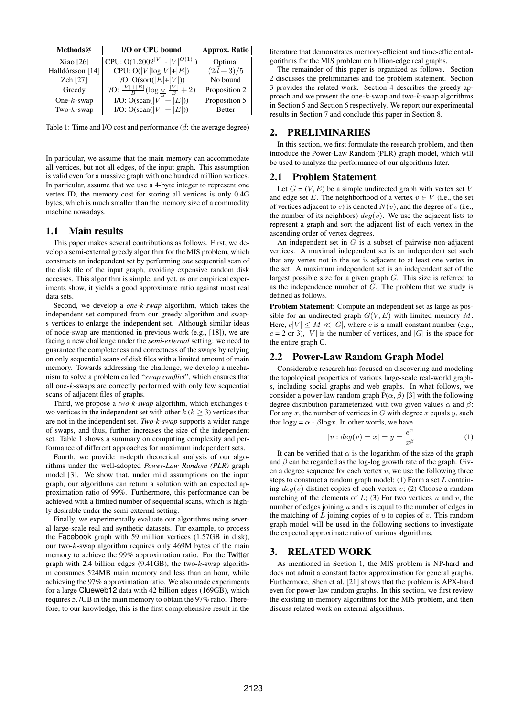| Methods@         | I/O or CPU bound                                                 | <b>Approx. Ratio</b> |
|------------------|------------------------------------------------------------------|----------------------|
| Xiao $[26]$      | CPU: $O(1.2002^{ V } \cdot  V ^{O(1)})$                          | Optimal              |
| Halldórsson [14] | CPU: $O( V log V + E )$                                          | $(2\bar{d}+3)/5$     |
| Zeh [27]         | I/O: $O(\text{sort}( E + V ))$                                   | No bound             |
| Greedy           | I/O: $\frac{ V + E }{B}$ (log $\frac{M}{B}$ $\frac{ V }{B}$ + 2) | Proposition 2        |
| One- $k$ -swap   | I/O: O(scan( $ V  +  E $ ))                                      | Proposition 5        |
| Two- $k$ -swap   | I/O: O(scan( $ V  +  E $ ))                                      | <b>Better</b>        |

Table 1: Time and I/O cost and performance  $(\bar{d})$ : the average degree)

In particular, we assume that the main memory can accommodate all vertices, but not all edges, of the input graph. This assumption is valid even for a massive graph with one hundred million vertices. In particular, assume that we use a 4-byte integer to represent one vertex ID, the memory cost for storing all vertices is only 0.4G bytes, which is much smaller than the memory size of a commodity machine nowadays.

### 1.1 Main results

This paper makes several contributions as follows. First, we develop a semi-external greedy algorithm for the MIS problem, which constructs an independent set by performing *one* sequential scan of the disk file of the input graph, avoiding expensive random disk accesses. This algorithm is simple, and yet, as our empirical experiments show, it yields a good approximate ratio against most real data sets.

Second, we develop a *one-k-swap* algorithm, which takes the independent set computed from our greedy algorithm and swaps vertices to enlarge the independent set. Although similar ideas of node-swap are mentioned in previous work (e.g., [18]), we are facing a new challenge under the *semi-external* setting: we need to guarantee the completeness and correctness of the swaps by relying on only sequential scans of disk files with a limited amount of main memory. Towards addressing the challenge, we develop a mechanism to solve a problem called "*swap conflict*", which ensures that all one-*k*-swaps are correctly performed with only few sequential scans of adjacent files of graphs.

Third, we propose a *two-k-swap* algorithm, which exchanges two vertices in the independent set with other  $k$  ( $k \geq 3$ ) vertices that are not in the independent set. *Two-k-swap* supports a wider range of swaps, and thus, further increases the size of the independent set. Table 1 shows a summary on computing complexity and performance of different approaches for maximum independent sets.

Fourth, we provide in-depth theoretical analysis of our algorithms under the well-adopted *Power-Law Random (PLR)* graph model [3]. We show that, under mild assumptions on the input graph, our algorithms can return a solution with an expected approximation ratio of 99%. Furthermore, this performance can be achieved with a limited number of sequential scans, which is highly desirable under the semi-external setting.

Finally, we experimentally evaluate our algorithms using several large-scale real and synthetic datasets. For example, to process the Facebook graph with 59 million vertices (1.57GB in disk), our two-*k*-swap algorithm requires only 469M bytes of the main memory to achieve the 99% approximation ratio. For the Twitter graph with 2.4 billion edges (9.41GB), the two-*k*-swap algorithm consumes 524MB main memory and less than an hour, while achieving the 97% approximation ratio. We also made experiments for a large Clueweb12 data with 42 billion edges (169GB), which requires 5.7GB in the main memory to obtain the 97% ratio. Therefore, to our knowledge, this is the first comprehensive result in the

literature that demonstrates memory-efficient and time-efficient algorithms for the MIS problem on billion-edge real graphs.

The remainder of this paper is organized as follows. Section 2 discusses the preliminaries and the problem statement. Section 3 provides the related work. Section 4 describes the greedy approach and we present the one-*k*-swap and two-*k*-swap algorithms in Section 5 and Section 6 respectively. We report our experimental results in Section 7 and conclude this paper in Section 8.

# 2. PRELIMINARIES

In this section, we first formulate the research problem, and then introduce the Power-Law Random (PLR) graph model, which will be used to analyze the performance of our algorithms later.

#### 2.1 Problem Statement

Let  $G = (V, E)$  be a simple undirected graph with vertex set *V* and edge set *E*. The neighborhood of a vertex  $v \in V$  (i.e., the set of vertices adjacent to *v*) is denoted  $N(v)$ , and the degree of *v* (i.e., the number of its neighbors)  $deg(v)$ . We use the adjacent lists to represent a graph and sort the adjacent list of each vertex in the ascending order of vertex degrees.

An independent set in *G* is a subset of pairwise non-adjacent vertices. A maximal independent set is an independent set such that any vertex not in the set is adjacent to at least one vertex in the set. A maximum independent set is an independent set of the largest possible size for a given graph *G*. This size is referred to as the independence number of *G*. The problem that we study is defined as follows.

Problem Statement: Compute an independent set as large as possible for an undirected graph  $G(V, E)$  with limited memory  $M$ . Here,  $c|V| \le M \ll |G|$ , where *c* is a small constant number (e.g.,  $c = 2$  or 3), |*V*| is the number of vertices, and  $|G|$  is the space for the entire graph G.

#### 2.2 Power-Law Random Graph Model

Considerable research has focused on discovering and modeling the topological properties of various large-scale real-world graphs, including social graphs and web graphs. In what follows, we consider a power-law random graph  $P(\alpha, \beta)$  [3] with the following degree distribution parameterized with two given values *α* and *β*: For any *x*, the number of vertices in *G* with degree *x* equals *y*, such that  $\log y = \alpha - \beta \log x$ . In other words, we have

$$
|v: deg(v) = x| = y = \frac{e^{\alpha}}{x^{\beta}}
$$
 (1)

It can be verified that  $\alpha$  is the logarithm of the size of the graph and  $\beta$  can be regarded as the log-log growth rate of the graph. Given a degree sequence for each vertex *v*, we use the following three steps to construct a random graph model: (1) Form a set *L* containing *deg*(*v*) distinct copies of each vertex *v*; (2) Choose a random matching of the elements of  $L$ ; (3) For two vertices  $u$  and  $v$ , the number of edges joining *u* and *v* is equal to the number of edges in the matching of *L* joining copies of *u* to copies of *v*. This random graph model will be used in the following sections to investigate the expected approximate ratio of various algorithms.

# 3. RELATED WORK

As mentioned in Section 1, the MIS problem is NP-hard and does not admit a constant factor approximation for general graphs. Furthermore, Shen et al. [21] shows that the problem is APX-hard even for power-law random graphs. In this section, we first review the existing in-memory algorithms for the MIS problem, and then discuss related work on external algorithms.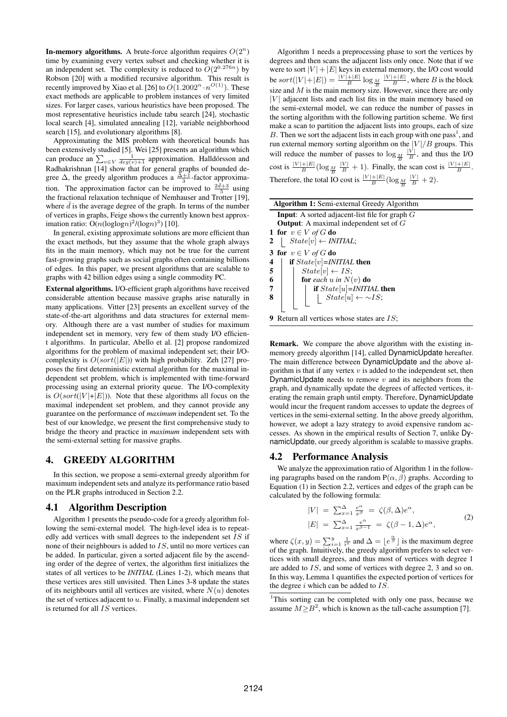**In-memory algorithms.** A brute-force algorithm requires  $O(2^n)$ time by examining every vertex subset and checking whether it is an independent set. The complexity is reduced to  $O(2^{0.276n})$  by Robson [20] with a modified recursive algorithm. This result is recently improved by Xiao et al. [26] to  $O(1.2002^n \cdot n^{O(1)})$ . These exact methods are applicable to problem instances of very limited sizes. For larger cases, various heuristics have been proposed. The most representative heuristics include tabu search [24], stochastic local search [4], simulated annealing [12], variable neighborhood search [15], and evolutionary algorithms [8].

Approximating the MIS problem with theoretical bounds has been extensively studied [5]. Wei [25] presents an algorithm which can produce an  $\sum_{v \in V} \frac{1}{deg(v)+1}$  approximation. Halldórsson and Radhakrishnan [14] show that for general graphs of bounded degree  $\Delta$ , the greedy algorithm produces a  $\frac{\Delta+1}{3}$ -factor approximation. The approximation factor can be improved to  $\frac{2\bar{d}+3}{5}$  using the fractional relaxation technique of Nemhauser and Trotter [19], where  $\bar{d}$  is the average degree of the graph. In terms of the number of vertices in graphs, Feige shows the currently known best approximation ratio:  $O(n(\text{log} \log n)^2/(\log n)^3)$  [10].

In general, existing approximate solutions are more efficient than the exact methods, but they assume that the whole graph always fits in the main memory, which may not be true for the current fast-growing graphs such as social graphs often containing billions of edges. In this paper, we present algorithms that are scalable to graphs with 42 billion edges using a single commodity PC.

External algorithms. I/O-efficient graph algorithms have received considerable attention because massive graphs arise naturally in many applications. Vitter [23] presents an excellent survey of the state-of-the-art algorithms and data structures for external memory. Although there are a vast number of studies for maximum independent set in memory, very few of them study I/O efficient algorithms. In particular, Abello et al. [2] propose randomized algorithms for the problem of maximal independent set; their I/Ocomplexity is  $O(sort(|E|))$  with high probability. Zeh [27] proposes the first deterministic external algorithm for the maximal independent set problem, which is implemented with time-forward processing using an external priority queue. The I/O-complexity is  $O(sort(|V|+|E|))$ . Note that these algorithms all focus on the maximal independent set problem, and they cannot provide any guarantee on the performance of *maximum* independent set. To the best of our knowledge, we present the first comprehensive study to bridge the theory and practice in *maximum* independent sets with the semi-external setting for massive graphs.

# 4. GREEDY ALGORITHM

In this section, we propose a semi-external greedy algorithm for maximum independent sets and analyze its performance ratio based on the PLR graphs introduced in Section 2.2.

# 4.1 Algorithm Description

Algorithm 1 presents the pseudo-code for a greedy algorithm following the semi-external model. The high-level idea is to repeatedly add vertices with small degrees to the independent set *IS* if none of their neighbours is added to *IS*, until no more vertices can be added. In particular, given a sorted adjacent file by the ascending order of the degree of vertex, the algorithm first initializes the states of all vertices to be *INITIAL* (Lines 1-2), which means that these vertices ares still unvisited. Then Lines 3-8 update the states of its neighbours until all vertices are visited, where  $N(u)$  denotes the set of vertices adjacent to *u*. Finally, a maximal independent set is returned for all *IS* vertices.

Algorithm 1 needs a preprocessing phase to sort the vertices by degrees and then scans the adjacent lists only once. Note that if we were to sort  $|V| + |E|$  keys in external memory, the I/O cost would be  $sort(|V| + |E|) = \frac{|V| + |E|}{B} \log_{\frac{M}{B}} \frac{|V| + |E|}{B}$ , where B is the block size and *M* is the main memory size. However, since there are only *|V |* adjacent lists and each list fits in the main memory based on the semi-external model, we can reduce the number of passes in the sorting algorithm with the following partition scheme. We first make a scan to partition the adjacent lists into groups, each of size  $B$ . Then we sort the adjacent lists in each group with one pass<sup>1</sup>, and run external memory sorting algorithm on the *|V |/B* groups. This will reduce the number of passes to  $\log_{\frac{M}{B}} \frac{|V|}{B}$ , and thus the I/O cost is  $\frac{|V|+|E|}{B}$  (log  $\frac{M}{B}$   $\frac{|V|}{B}$  + 1). Finally, the scan cost is  $\frac{|V|+|E|}{B}$ . Therefore, the total IO cost is  $\frac{|V|+|E|}{B}(\log_{\frac{M}{B}}\frac{|V|}{B}+2)$ .

| <b>Algorithm 1:</b> Semi-external Greedy Algorithm      |  |  |  |  |  |  |
|---------------------------------------------------------|--|--|--|--|--|--|
| <b>Input:</b> A sorted adjacent-list file for graph $G$ |  |  |  |  |  |  |
| <b>Output:</b> A maximal independent set of $G$         |  |  |  |  |  |  |
| 1 for $v \in V$ of G do                                 |  |  |  |  |  |  |
| $\vert$ State[v] $\leftarrow$ INITIAL;                  |  |  |  |  |  |  |
| 3 for $v \in V$ of G do                                 |  |  |  |  |  |  |
| if $State[v] = \textit{INITIAL}$ then<br>4              |  |  |  |  |  |  |
| 5<br>$State[v] \leftarrow IS;$                          |  |  |  |  |  |  |
| for each u in $N(v)$ do<br>6                            |  |  |  |  |  |  |
| if $State[u]\text{=}INITIAL$ then                       |  |  |  |  |  |  |
| $\vert$ State[u] $\leftarrow \sim IS;$<br>8             |  |  |  |  |  |  |
|                                                         |  |  |  |  |  |  |
| Return all vertices whose states are $IS$ ;             |  |  |  |  |  |  |
|                                                         |  |  |  |  |  |  |

Remark. We compare the above algorithm with the existing inmemory greedy algorithm [14], called DynamicUpdate hereafter. The main difference between DynamicUpdate and the above algorithm is that if any vertex  $v$  is added to the independent set, then DynamicUpdate needs to remove *v* and its neighbors from the graph, and dynamically update the degrees of affected vertices, iterating the remain graph until empty. Therefore, DynamicUpdate would incur the frequent random accesses to update the degrees of vertices in the semi-external setting. In the above greedy algorithm, however, we adopt a lazy strategy to avoid expensive random accesses. As shown in the empirical results of Section 7, unlike DynamicUpdate, our greedy algorithm is scalable to massive graphs.

# 4.2 Performance Analysis

We analyze the approximation ratio of Algorithm 1 in the following paragraphs based on the random  $P(\alpha, \beta)$  graphs. According to Equation (1) in Section 2.2, vertices and edges of the graph can be calculated by the following formula:

$$
|V| = \sum_{x=1}^{\Delta} \frac{e^{\alpha}}{x^{\beta}} = \zeta(\beta, \Delta) e^{\alpha},
$$
  

$$
|E| = \sum_{x=1}^{\Delta} \frac{e^{\alpha}}{x^{\beta-1}} = \zeta(\beta - 1, \Delta) e^{\alpha},
$$
 (2)

where  $\zeta(x, y) = \sum_{i=1}^{y} \frac{1}{i^x}$  and  $\Delta = \lfloor e^{\frac{\alpha}{\beta}} \rfloor$  is the maximum degree of the graph. Intuitively, the greedy algorithm prefers to select vertices with small degrees, and thus most of vertices with degree 1 are added to *IS*, and some of vertices with degree 2, 3 and so on. In this way, Lemma 1 quantifies the expected portion of vertices for the degree *i* which can be added to *IS*.

<sup>&</sup>lt;sup>1</sup>This sorting can be completed with only one pass, because we assume  $M \ge B^2$ , which is known as the tall-cache assumption [7].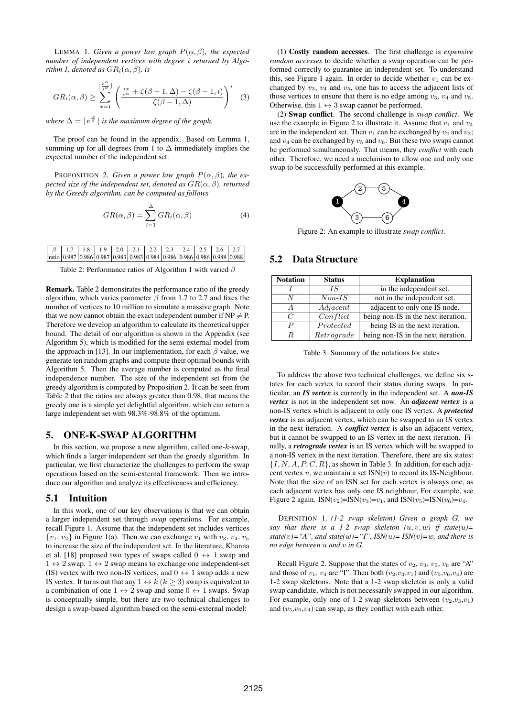LEMMA 1. *Given a power law graph*  $P(\alpha, \beta)$ *, the expected number of independent vertices with degree i returned by Algorithm 1, denoted as*  $GR_i(\alpha, \beta)$ *, is* 

$$
GR_i(\alpha, \beta) \ge \sum_{x=1}^{\lfloor \frac{e^{\alpha}}{i^{\beta}} \rfloor} \left( \frac{\frac{ix}{e^{\alpha}} + \zeta(\beta - 1, \Delta) - \zeta(\beta - 1, i)}{\zeta(\beta - 1, \Delta)} \right)^{i} \quad (3)
$$

where  $\Delta = \lfloor e^{\frac{\alpha}{\beta}} \rfloor$  is the maximum degree of the graph.

The proof can be found in the appendix. Based on Lemma 1, summing up for all degrees from 1 to  $\Delta$  immediately implies the expected number of the independent set.

**PROPOSITION** 2. *Given a power law graph*  $P(\alpha, \beta)$ *, the expected size of the independent set, denoted as GR*(*α, β*)*, returned by the Greedy algorithm, can be computed as follows*

$$
GR(\alpha, \beta) = \sum_{i=1}^{\Delta} GR_i(\alpha, \beta)
$$
 (4)

|  |  |  |  |  | ratio 0.987 0.986 0.987 0.983 0.983 0.984 0.986 0.986 0.986 0.988 0.988 |
|--|--|--|--|--|-------------------------------------------------------------------------|

Table 2: Performance ratios of Algorithm 1 with varied *β*

Remark. Table 2 demonstrates the performance ratio of the greedy algorithm, which varies parameter *β* from 1.7 to 2.7 and fixes the number of vertices to 10 million to simulate a massive graph. Note that we now cannot obtain the exact independent number if  $NP \neq P$ . Therefore we develop an algorithm to calculate its theoretical upper bound. The detail of our algorithm is shown in the Appendix (see Algorithm 5), which is modified for the semi-external model from the approach in [13]. In our implementation, for each *β* value, we generate ten random graphs and compute their optimal bounds with Algorithm 5. Then the average number is computed as the final independence number. The size of the independent set from the greedy algorithm is computed by Proposition 2. It can be seen from Table 2 that the ratios are always greater than 0.98, that means the greedy one is a simple yet delightful algorithm, which can return a large independent set with 98.3%-98.8% of the optimum.

# 5. ONE-K-SWAP ALGORITHM

In this section, we propose a new algorithm, called one-*k*-swap, which finds a larger independent set than the greedy algorithm. In particular, we first characterize the challenges to perform the swap operations based on the semi-external framework. Then we introduce our algorithm and analyze its effectiveness and efficiency.

### 5.1 Intuition

In this work, one of our key observations is that we can obtain a larger independent set through *swap* operations. For example, recall Figure 1. Assume that the independent set includes vertices  ${v_1, v_2}$  in Figure 1(a). Then we can exchange  $v_1$  with  $v_3, v_4, v_5$ to increase the size of the independent set. In the literature, Khanna et al. [18] proposed two types of swaps called  $0 \leftrightarrow 1$  swap and 1 *↔* 2 swap. 1 *↔* 2 swap means to exchange one independent-set (IS) vertex with two non-IS vertices, and  $0 \leftrightarrow 1$  swap adds a new IS vertex. It turns out that any  $1 \leftrightarrow k$  ( $k \geq 3$ ) swap is equivalent to a combination of one  $1 \leftrightarrow 2$  swap and some  $0 \leftrightarrow 1$  swaps. Swap is conceptually simple, but there are two technical challenges to design a swap-based algorithm based on the semi-external model:

(1) Costly random accesses. The first challenge is *expensive random accesses* to decide whether a swap operation can be performed correctly to guarantee an independent set. To understand this, see Figure 1 again. In order to decide whether  $v_1$  can be exchanged by *v*3, *v*<sup>4</sup> and *v*5, one has to access the adjacent lists of those vertices to ensure that there is no edge among *v*3, *v*<sup>4</sup> and *v*5. Otherwise, this  $1 \leftrightarrow 3$  swap cannot be performed.

(2) Swap conflict. The second challenge is *swap conflict*. We use the example in Figure 2 to illustrate it. Assume that  $v_1$  and  $v_4$ are in the independent set. Then  $v_1$  can be exchanged by  $v_2$  and  $v_3$ ; and  $v_4$  can be exchanged by  $v_5$  and  $v_6$ . But these two swaps cannot be performed simultaneously. That means, they *conflict* with each other. Therefore, we need a mechanism to allow one and only one swap to be successfully performed at this example.



Figure 2: An example to illustrate *swap conflict*.

# 5.2 Data Structure

| <b>Notation</b>  | <b>Status</b> | <b>Explanation</b>                  |
|------------------|---------------|-------------------------------------|
|                  | ΙS            | in the independent set.             |
| N                | $Non-IS$      | not in the independent set.         |
| $\overline{A}$   | Adjacent      | adjacent to only one IS node.       |
| C                | Conflict      | being non-IS in the next iteration. |
| $\boldsymbol{P}$ | Protected     | being IS in the next iteration.     |
| R                | Retrograde    | being non-IS in the next iteration. |

Table 3: Summary of the notations for states

To address the above two technical challenges, we define six states for each vertex to record their status during swaps. In particular, an *IS vertex* is currently in the independent set. A *non-IS vertex* is not in the independent set now. An *adjacent vertex* is a non-IS vertex which is adjacent to only one IS vertex. A *protected vertex* is an adjacent vertex, which can be swapped to an IS vertex in the next iteration. A *conflict vertex* is also an adjacent vertex, but it cannot be swapped to an IS vertex in the next iteration. Finally, a *retrograde vertex* is an IS vertex which will be swapped to a non-IS vertex in the next iteration. Therefore, there are six states: *{I, N, A, P, C, R}*, as shown in Table 3. In addition, for each adjacent vertex  $v$ , we maintain a set  $\text{ISN}(v)$  to record its IS-Neighbour. Note that the size of an ISN set for each vertex is always one, as each adjacent vertex has only one IS neighbour, For example, see Figure 2 again.  $ISN(v_2)=ISN(v_3)=v_1$ , and  $ISN(v_5)=ISN(v_6)=v_4$ .

DEFINITION 1. *(1-2 swap skeleton) Given a graph G, we say that there is a 1-2 swap skeleton*  $(u, v, w)$  *if state* $(u)$ = *state(v)*="A", *and state(w)*="I", *ISN(u)*= *ISN(v)*=*w*, *and there is no edge between u and v in G.*

Recall Figure 2. Suppose that the states of  $v_2$ ,  $v_3$ ,  $v_5$ ,  $v_6$  are "A" and those of  $v_1$ ,  $v_4$  are "I". Then both  $(v_2, v_3, v_1)$  and  $(v_5, v_6, v_4)$  are 1-2 swap skeletons. Note that a 1-2 swap skeleton is only a valid swap candidate, which is not necessarily swapped in our algorithm. For example, only one of 1-2 swap skeletons between  $(v_2, v_3, v_1)$ and (*v*5,*v*6,*v*4) can swap, as they conflict with each other.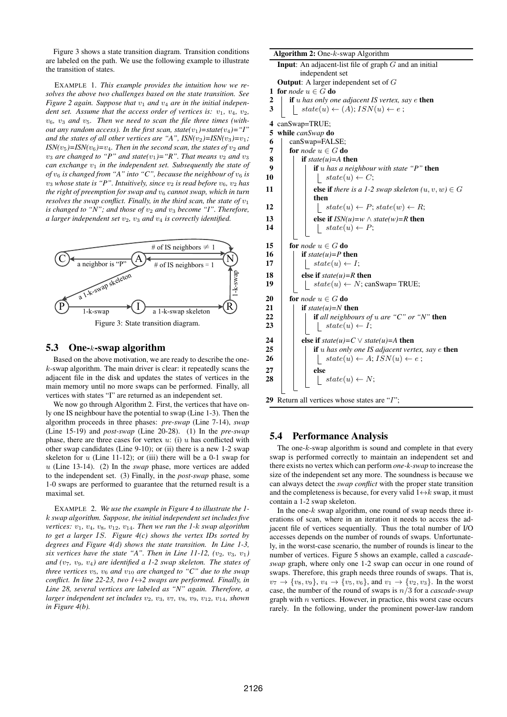Figure 3 shows a state transition diagram. Transition conditions are labeled on the path. We use the following example to illustrate the transition of states.

EXAMPLE 1. *This example provides the intuition how we resolves the above two challenges based on the state transition. See Figure 2 again. Suppose that*  $v_1$  *and*  $v_4$  *are in the initial independent set. Assume that the access order of vertices is: v*1*, v*4*, v*2*, v*6*, v*<sup>3</sup> *and v*5*. Then we need to scan the file three times (without any random access). In the first scan, state(* $v_1$ *)=state(* $v_4$ *)="I" and the states of all other vertices are "A",*  $ISN(v_2)=ISN(v_3)=v_1$ *; ISN*( $v_5$ )=*ISN*( $v_6$ )= $v_4$ *. Then in the second scan, the states of*  $v_2$  *and v*<sub>3</sub> *are changed to "P" and state*(*v*<sub>1</sub>)="R". That means *v*<sub>2</sub> *and v*<sub>3</sub> *can exchange v*<sup>1</sup> *in the independent set. Subsequently the state of of*  $v_6$  *is changed from "A" into "C", because the neighbour of*  $v_6$  *is*  $v_3$  *whose state is "P". Intuitively, since*  $v_2$  *is read before*  $v_6$ *,*  $v_2$  *has the right of preemption for swap and v*<sup>6</sup> *cannot swap, which in turn resolves the swap conflict. Finally, in the third scan, the state of*  $v_1$ *is changed to "N"; and those of v*<sup>2</sup> *and v*<sup>3</sup> *become "I". Therefore, a larger independent set v*2*, v*<sup>3</sup> *and v*<sup>4</sup> *is correctly identified.*



Figure 3: State transition diagram.

# 5.3 One-*k*-swap algorithm

Based on the above motivation, we are ready to describe the one*k*-swap algorithm. The main driver is clear: it repeatedly scans the adjacent file in the disk and updates the states of vertices in the main memory until no more swaps can be performed. Finally, all vertices with states "I" are returned as an independent set.

We now go through Algorithm 2. First, the vertices that have only one IS neighbour have the potential to swap (Line 1-3). Then the algorithm proceeds in three phases: *pre-swap* (Line 7-14), *swap* (Line 15-19) and *post-swap* (Line 20-28). (1) In the *pre-swap* phase, there are three cases for vertex *u*: (i) *u* has conflicted with other swap candidates (Line 9-10); or (ii) there is a new 1-2 swap skeleton for  $u$  (Line 11-12); or (iii) there will be a 0-1 swap for *u* (Line 13-14). (2) In the *swap* phase, more vertices are added to the independent set. (3) Finally, in the *post-swap* phase, some 1-0 swaps are performed to guarantee that the returned result is a maximal set.

EXAMPLE 2. *We use the example in Figure 4 to illustrate the 1 k swap algorithm. Suppose, the initial independent set includes five vertices: v*1*, v*4*, v*8*, v*12*, v*14*. Then we run the 1-k swap algorithm to get a larger IS. Figure 4(c) shows the vertex IDs sorted by degrees and Figure 4(d) shows the state transition. In Line 1-3, six vertices have the state "A". Then in Line 11-12,*  $(v_2, v_3, v_1)$ *and (v*7*, v*9*, v*4*) are identified a 1-2 swap skeleton. The states of three vertices*  $v_5$ ,  $v_6$  *and*  $v_{10}$  *are changed to "C" due to the swap conflict. In line 22-23, two 1↔2 swaps are performed. Finally, in Line 28, several vertices are labeled as "N" again. Therefore, a larger independent set includes v*2*, v*3*, v*7*, v*8*, v*9*, v*12*, v*14*, shown in Figure 4(b).*

|    | <b>Algorithm 2:</b> One- $k$ -swap Algorithm                    |  |  |  |  |  |  |  |  |
|----|-----------------------------------------------------------------|--|--|--|--|--|--|--|--|
|    | <b>Input:</b> An adjacent-list file of graph $G$ and an initial |  |  |  |  |  |  |  |  |
|    | independent set                                                 |  |  |  |  |  |  |  |  |
|    | <b>Output:</b> A larger independent set of $G$                  |  |  |  |  |  |  |  |  |
|    | 1 for <i>node</i> $u \in G$ do                                  |  |  |  |  |  |  |  |  |
| 2  | if $u$ has only one adjacent IS vertex, say $e$ then            |  |  |  |  |  |  |  |  |
| 3  | $state(u) \leftarrow (A); ISN(u) \leftarrow e;$                 |  |  |  |  |  |  |  |  |
|    | 4 canSwap=TRUE;                                                 |  |  |  |  |  |  |  |  |
| 5  | while canSwap do                                                |  |  |  |  |  |  |  |  |
| 6  | canSwap=FALSE;                                                  |  |  |  |  |  |  |  |  |
| 7  | for <i>node</i> $u \in G$ do                                    |  |  |  |  |  |  |  |  |
| 8  | if $state(u)=A$ then                                            |  |  |  |  |  |  |  |  |
| 9  | if u has a neighbour with state " $P$ " then                    |  |  |  |  |  |  |  |  |
| 10 | $state(u) \leftarrow C;$                                        |  |  |  |  |  |  |  |  |
| 11 | <b>else if</b> there is a 1-2 swap skeleton $(u, v, w) \in G$   |  |  |  |  |  |  |  |  |
|    | then                                                            |  |  |  |  |  |  |  |  |
| 12 | $state(u) \leftarrow P; state(w) \leftarrow R;$                 |  |  |  |  |  |  |  |  |
| 13 | else if $ISN(u)=w \wedge state(w)=R$ then                       |  |  |  |  |  |  |  |  |
| 14 | $state(u) \leftarrow P;$                                        |  |  |  |  |  |  |  |  |
|    |                                                                 |  |  |  |  |  |  |  |  |
| 15 | for <i>node</i> $u \in G$ do                                    |  |  |  |  |  |  |  |  |
| 16 | if $state(u)=P$ then                                            |  |  |  |  |  |  |  |  |
| 17 | $state(u) \leftarrow I;$                                        |  |  |  |  |  |  |  |  |
| 18 | else if $state(u)=R$ then                                       |  |  |  |  |  |  |  |  |
| 19 | $state(u) \leftarrow N$ ; canSwap= TRUE;                        |  |  |  |  |  |  |  |  |
| 20 | for <i>node</i> $u \in G$ do                                    |  |  |  |  |  |  |  |  |
| 21 | if $state(u)=N$ then                                            |  |  |  |  |  |  |  |  |
| 22 | if all neighbours of $u$ are "C" or "N" then                    |  |  |  |  |  |  |  |  |
| 23 | $state(u) \leftarrow I;$                                        |  |  |  |  |  |  |  |  |
| 24 | else if $state(u)=C \vee state(u)=A$ then                       |  |  |  |  |  |  |  |  |
| 25 | if $u$ has only one IS adjacent vertex, say $e$ then            |  |  |  |  |  |  |  |  |
| 26 | $state(u) \leftarrow A; ISN(u) \leftarrow e;$                   |  |  |  |  |  |  |  |  |
| 27 | else                                                            |  |  |  |  |  |  |  |  |
| 28 | $state(u) \leftarrow N;$                                        |  |  |  |  |  |  |  |  |
|    |                                                                 |  |  |  |  |  |  |  |  |
|    | 29 Return all vertices whose states are "I";                    |  |  |  |  |  |  |  |  |

### 5.4 Performance Analysis

The one-*k*-swap algorithm is sound and complete in that every swap is performed correctly to maintain an independent set and there exists no vertex which can perform *one-k-swap* to increase the size of the independent set any more. The soundness is because we can always detect the *swap conflict* with the proper state transition and the completeness is because, for every valid  $1 \leftrightarrow k$  swap, it must contain a 1-2 swap skeleton.

In the one-*k* swap algorithm, one round of swap needs three iterations of scan, where in an iteration it needs to access the adjacent file of vertices sequentially. Thus the total number of I/O accesses depends on the number of rounds of swaps. Unfortunately, in the worst-case scenario, the number of rounds is linear to the number of vertices. Figure 5 shows an example, called a *cascadeswap* graph, where only one 1-2 swap can occur in one round of swaps. Therefore, this graph needs three rounds of swaps. That is,  $v_7 \to \{v_8, v_9\}, v_4 \to \{v_5, v_6\}, \text{ and } v_1 \to \{v_2, v_3\}.$  In the worst case, the number of the round of swaps is *n/*3 for a *cascade-swap* graph with *n* vertices. However, in practice, this worst case occurs rarely. In the following, under the prominent power-law random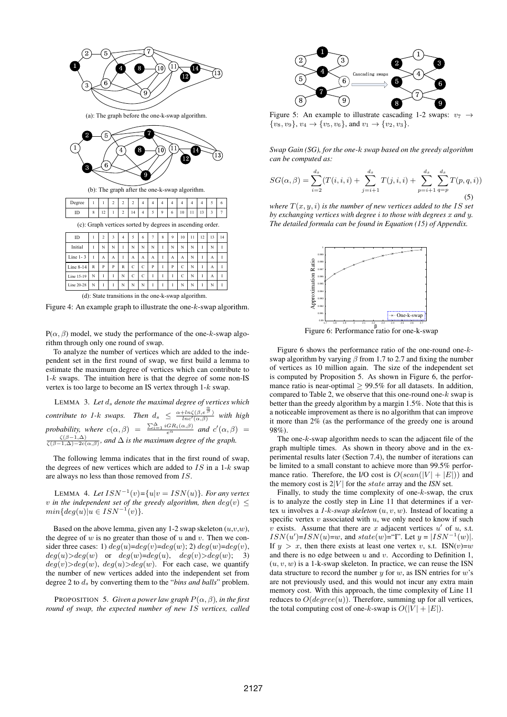

(d): State transitions in the one-k-swap algorithm.

Figure 4: An example graph to illustrate the one-*k*-swap algorithm.

 $P(\alpha, \beta)$  model, we study the performance of the one-*k*-swap algorithm through only one round of swap.

To analyze the number of vertices which are added to the independent set in the first round of swap, we first build a lemma to estimate the maximum degree of vertices which can contribute to 1-*k* swaps. The intuition here is that the degree of some non-IS vertex is too large to become an IS vertex through 1-*k* swap.

LEMMA 3. *Let d<sup>s</sup> denote the maximal degree of vertices which contribute to 1-k swaps.* Then  $d_s \leq \frac{\alpha + ln(\beta, e^{\frac{\alpha}{\beta}})}{lnc'(\alpha, \beta)}$  with high *probability, where*  $c(\alpha, \beta) = \frac{\sum_{i=1}^{\Delta} iG R_i(\alpha, \beta)}{e^{\alpha}}$  and  $c'(\alpha, \beta) =$ *ζ*(*β−*1*,*∆) *ζ*(*β−*1*,*∆)*−*2*c*(*α,β*) *, and* ∆ *is the maximum degree of the graph.*

The following lemma indicates that in the first round of swap, the degrees of new vertices which are added to *IS* in a 1-*k* swap are always no less than those removed from *IS*.

 $\text{LEMMA } 4$ *. Let*  $ISN^{-1}(v) = \{u|v = ISN(u)\}$ *. For any vertex v* in the independent set of the greedy algorithm, then  $deg(v) \leq$  $min{deg(u)|u \in ISN^{-1}(v)}$ .

Based on the above lemma, given any 1-2 swap skeleton  $(u, v, w)$ , the degree of  $w$  is no greater than those of  $u$  and  $v$ . Then we consider three cases: 1)  $deg(u) = deg(v) = deg(w); 2)$   $deg(w) = deg(v)$ ,  $deg(u) > deg(w)$  or  $deg(w) = deg(u)$ ,  $deg(v) > deg(w)$ ; 3)  $deg(v)$ > $deg(w)$ ,  $deg(u)$ > $deg(w)$ . For each case, we quantify the number of new vertices added into the independent set from degree 2 to *d<sup>s</sup>* by converting them to the "*bins and balls*" problem.

PROPOSITION 5. *Given a power law graph*  $P(\alpha, \beta)$ *, in the first round of swap, the expected number of new IS vertices, called*



Figure 5: An example to illustrate cascading 1-2 swaps:  $v_7 \rightarrow$  ${v_8, v_9}$ ,  $v_4 \rightarrow {v_5, v_6}$ , and  $v_1 \rightarrow {v_2, v_3}$ .

*Swap Gain (SG), for the one-k swap based on the greedy algorithm can be computed as:*

$$
SG(\alpha, \beta) = \sum_{i=2}^{d_s} (T(i, i, i) + \sum_{j=i+1}^{d_s} T(j, i, i) + \sum_{p=i+1}^{d_s} \sum_{q=p}^{d_s} T(p, q, i))
$$
(5)

*where*  $T(x, y, i)$  *is the number of new vertices added to the IS set by exchanging vertices with degree i to those with degrees x and y. The detailed formula can be found in Equation (15) of Appendix.*



Figure 6: Performance ratio for one-k-swap

Figure 6 shows the performance ratio of the one-round one-*k*swap algorithm by varying *β* from 1.7 to 2.7 and fixing the number of vertices as 10 million again. The size of the independent set is computed by Proposition 5. As shown in Figure 6, the performance ratio is near-optimal *≥* 99.5% for all datasets. In addition, compared to Table 2, we observe that this one-round one-*k* swap is better than the greedy algorithm by a margin 1.5%. Note that this is a noticeable improvement as there is no algorithm that can improve it more than 2% (as the performance of the greedy one is around 98%).

The one-*k*-swap algorithm needs to scan the adjacent file of the graph multiple times. As shown in theory above and in the experimental results later (Section 7.4), the number of iterations can be limited to a small constant to achieve more than 99.5% performance ratio. Therefore, the I/O cost is  $O(\operatorname{scan}(|V| + |E|))$  and the memory cost is  $2|V|$  for the *state* array and the *ISN* set.

Finally, to study the time complexity of one-*k*-swap, the crux is to analyze the costly step in Line 11 that determines if a vertex *u* involves a *1-k-swap skeleton* (*u, v, w*). Instead of locating a specific vertex *v* associated with *u*, we only need to know if such *v* exists. Assume that there are *x* adjacent vertices  $u'$  of  $u$ , s.t. *ISN*(*u*')=*ISN*(*u*)=*w*, and *state*(*w*)="I". Let  $y = |ISN^{-1}(w)|$ . If  $y > x$ , then there exists at least one vertex *v*, s.t. ISN(*v*)=*w* and there is no edge between *u* and *v*. According to Definition 1,  $(u, v, w)$  is a 1-k-swap skeleton. In practice, we can reuse the ISN data structure to record the number *y* for *w*, as ISN entries for *w*'s are not previously used, and this would not incur any extra main memory cost. With this approach, the time complexity of Line 11 reduces to  $O(degree(u))$ . Therefore, summing up for all vertices, the total computing cost of one-*k*-swap is  $O(|V| + |E|)$ .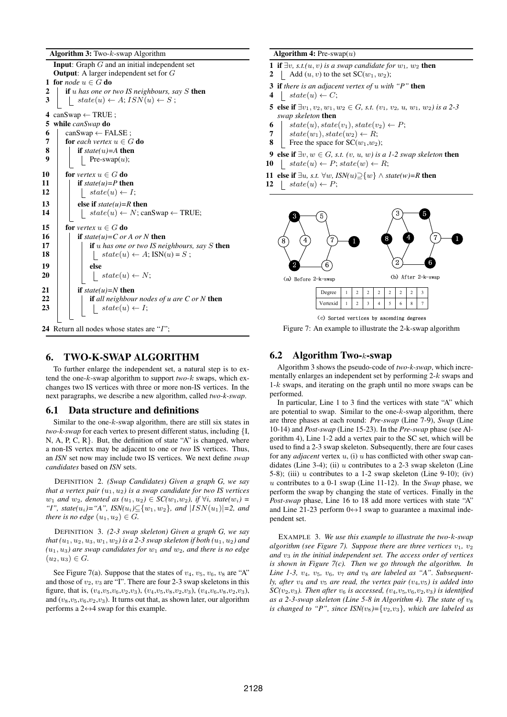Algorithm 3: Two-*k*-swap Algorithm

|    | <b>Input:</b> Graph $G$ and an initial independent set      |
|----|-------------------------------------------------------------|
|    | <b>Output:</b> A larger independent set for $G$             |
|    | 1 for <i>node</i> $u \in G$ do                              |
| 2  | if $u$ has one or two IS neighbours, say $S$ then           |
| 3  | $state(u) \leftarrow A; ISN(u) \leftarrow S;$               |
| 4  | $\text{canSwap} \leftarrow \text{TRUE}$ ;                   |
| 5  | while canSwap do                                            |
| 6  | $canSwap \leftarrow FALSE;$                                 |
| 7  | <b>for</b> each vertex $u \in G$ <b>do</b>                  |
| 8  | if $state(u)=A$ then                                        |
| 9  | Pre-swap $(u)$ ;                                            |
| 10 | <b>for</b> vertex $u \in G$ <b>do</b>                       |
| 11 | if $state(u)=P$ then                                        |
| 12 | $state(u) \leftarrow I;$                                    |
| 13 | else if $state(u)=R$ then                                   |
| 14 | $state(u) \leftarrow N$ ; canSwap $\leftarrow$ TRUE;        |
| 15 | <b>for</b> vertex $u \in G$ <b>do</b>                       |
| 16 | if state(u)=C or A or N then                                |
| 17 | <b>if</b> u has one or two IS neighbours, say S <b>then</b> |
| 18 | $state(u) \leftarrow A$ ; ISN(u) = S;                       |
| 19 | else                                                        |
| 20 | $state(u) \leftarrow N;$                                    |
| 21 | if $state(u)=N$ then                                        |
| 22 | if all neighbour nodes of $u$ are $C$ or $N$ then           |
| 23 | $state(u) \leftarrow I;$                                    |
|    | 24 Return all nodes whose states are "I";                   |

### 6. TWO-K-SWAP ALGORITHM

To further enlarge the independent set, a natural step is to extend the one-*k*-swap algorithm to support *two-k* swaps, which exchanges two IS vertices with three or more non-IS vertices. In the next paragraphs, we describe a new algorithm, called *two-k-swap*.

#### 6.1 Data structure and definitions

Similar to the one-*k*-swap algorithm, there are still six states in *two-k-swap* for each vertex to present different status, including *{*I, N, A, P, C, R*}*. But, the definition of state "A" is changed, where a non-IS vertex may be adjacent to one or *two* IS vertices. Thus, an *ISN* set now may include two IS vertices. We next define *swap candidates* based on *ISN* sets.

DEFINITION 2. *(Swap Candidates) Given a graph G, we say that a vertex pair*  $(u_1, u_2)$  *is a swap candidate for two IS vertices w*<sub>1</sub> *and w*<sub>2</sub>*, denoted as*  $(u_1, u_2) \in SC(w_1, w_2)$ *, if*  $∀i$ *, state* $(w_i) =$ *"I", state*(*u<sub>i</sub>*)= "*A*", *ISN*(*u<sub>i</sub>*) $\subseteq$ {*w*<sub>1</sub>*,w*<sub>2</sub>}*, and*  $|ISN(u_1)|=2$ *, and there is no edge*  $(u_1, u_2) \in G$ *.* 

DEFINITION 3. *(2-3 swap skeleton) Given a graph G, we say that*  $(u_1, u_2, u_3, w_1, w_2)$  *is a 2-3 swap skeleton if both*  $(u_1, u_2)$  *and*  $(u_1, u_3)$  *are swap candidates for*  $w_1$  *and*  $w_2$ *, and there is no edge*  $(u_2, u_3) \in G$ .

See Figure 7(a). Suppose that the states of  $v_4$ ,  $v_5$ ,  $v_6$ ,  $v_8$  are "A" and those of *v*2, *v*<sup>3</sup> are "I". There are four 2-3 swap skeletons in this figure, that is, (*v*4,*v*5,*v*6,*v*2,*v*3), (*v*4,*v*5,*v*8,*v*2,*v*3), (*v*4,*v*6,*v*8,*v*2,*v*3), and  $(v_8, v_5, v_6, v_2, v_3)$ . It turns out that, as shown later, our algorithm performs a 2*↔*4 swap for this example.

# Algorithm 4: Pre-swap $(u)$

- 1 if  $\exists v, s.t.(u, v)$  is a swap candidate for  $w_1, w_2$  then
- 2 | Add  $(u, v)$  to the set  $SC(w_1, w_2)$ ;
- 3 if *there is an adjacent vertex of u with "P"* then
- $\vert$  *state* $(u) \leftarrow C$ ;
- 5 else if  $\exists v_1, v_2, w_1, w_2 \in G$ *, s.t.*  $(v_1, v_2, u, w_1, w_2)$  is a 2-3 *swap skeleton* then
- 6  $\vert$   $state(u), state(v_1), state(v_2) \leftarrow P;$
- 7  $\vert$   $state(w_1), state(w_2) \leftarrow R;$
- 8 Free the space for  $SC(w_1, w_2)$ ;
- 9 else if  $∃v, w ∈ G$ *, s.t.*  $(v, u, w)$  is a 1-2 swap skeleton then 10  $\vert$   $state(u) \leftarrow P$ ;  $state(w) \leftarrow R$ ;
- 
- 11 else if  $\exists u, s.t. \forall w, \text{ISN}(u) \geq \{w\} \land state(w) = R$  then
- 12  $\vert$   $state(u) \leftarrow P$ ;



Figure 7: An example to illustrate the 2-k-swap algorithm

## 6.2 Algorithm Two-*k*-swap

Algorithm 3 shows the pseudo-code of *two-k-swap*, which incrementally enlarges an independent set by performing 2-*k* swaps and 1-*k* swaps, and iterating on the graph until no more swaps can be performed.

In particular, Line 1 to 3 find the vertices with state "A" which are potential to swap. Similar to the one-*k*-swap algorithm, there are three phases at each round: *Pre-swap* (Line 7-9), *Swap* (Line 10-14) and *Post-swap* (Line 15-23). In the *Pre-swap* phase (see Algorithm 4), Line 1-2 add a vertex pair to the SC set, which will be used to find a 2-3 swap skeleton. Subsequently, there are four cases for any *adjacent* vertex *u*, (i) *u* has conflicted with other swap candidates (Line 3-4); (ii) *u* contributes to a 2-3 swap skeleton (Line 5-8); (iii)  $u$  contributes to a 1-2 swap skeleton (Line 9-10); (iv) *u* contributes to a 0-1 swap (Line 11-12). In the *Swap* phase, we perform the swap by changing the state of vertices. Finally in the *Post-swap* phase, Line 16 to 18 add more vertices with state "A" and Line 21-23 perform 0*↔*1 swap to guarantee a maximal independent set.

EXAMPLE 3. *We use this example to illustrate the two-k-swap algorithm (see Figure 7). Suppose there are three vertices*  $v_1$ ,  $v_2$ *and v*<sup>3</sup> *in the initial independent set. The access order of vertices is shown in Figure 7(c). Then we go through the algorithm. In Line 1-3,*  $v_4$ ,  $v_5$ ,  $v_6$ ,  $v_7$  *and*  $v_8$  *are labeled as "A". Subsequently, after*  $v_4$  *and*  $v_5$  *are read, the vertex pair*  $(v_4, v_5)$  *is added into SC*( $v_2$ , $v_3$ ). Then after  $v_6$  *is accessed,* ( $v_4$ , $v_5$ , $v_6$ , $v_2$ , $v_3$ ) *is identified as a 2-3-swap skeleton (Line 5-8 in Algorithm 4). The state of v*<sup>8</sup> *is changed to "P", since*  $ISN(v_8) = \{v_2, v_3\}$ *, which are labeled as*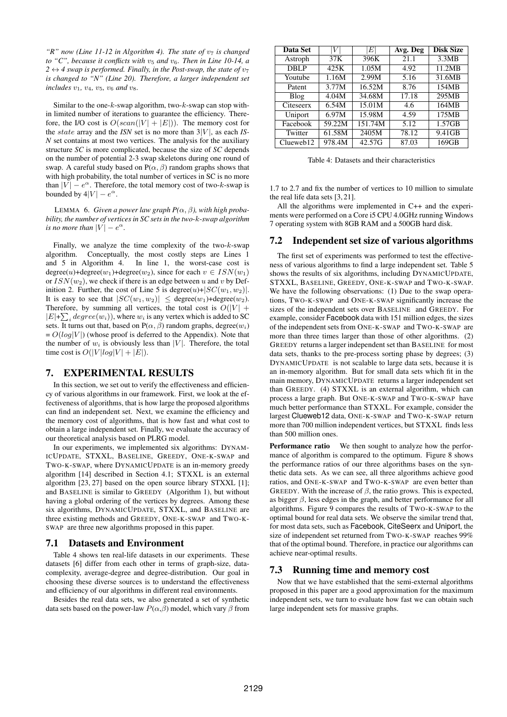*"R" now (Line 11-12 in Algorithm 4). The state of*  $v_7$  *is changed to "C", because it conflicts with v*<sup>5</sup> *and v*6*. Then in Line 10-14, a*  $2 \leftrightarrow 4$  *swap is performed. Finally, in the Post-swap, the state of*  $v_7$ *is changed to "N" (Line 20). Therefore, a larger independent set includes v*1*, v*4*, v*5*, v*<sup>6</sup> *and v*8*.*

Similar to the one-*k*-swap algorithm, two-*k*-swap can stop within limited number of iterations to guarantee the efficiency. Therefore, the I/O cost is  $O(\operatorname{scan}(|V| + |E|))$ . The memory cost for the *state* array and the *ISN* set is no more than  $3|V|$ , as each *IS*-*N* set contains at most two vertices. The analysis for the auxiliary structure *SC* is more complicated, because the size of *SC* depends on the number of potential 2-3 swap skeletons during one round of swap. A careful study based on  $P(\alpha, \beta)$  random graphs shows that with high probability, the total number of vertices in SC is no more than  $|V| - e^{\alpha}$ . Therefore, the total memory cost of two-*k*-swap is bounded by  $4|V| - e^{\alpha}$ .

LEMMA 6. *Given a power law graph P(α, β), with high probability, the number of vertices in SC sets in the two-k-swap algorithm is no more than*  $|V| - e^{\alpha}$ .

Finally, we analyze the time complexity of the two-*k*-swap algorithm. Conceptually, the most costly steps are Lines 1 and 5 in Algorithm 4. In line 1, the worst-case cost is degree(*w*)+degree(*w*<sub>1</sub>)+degree(*w*<sub>2</sub>), since for each  $v \in ISN(w_1)$ or  $ISN(w_2)$ , we check if there is an edge between *u* and *v* by Definition 2. Further, the cost of Line 5 is degree $(u)$ + $|SC(w_1, w_2)|$ . It is easy to see that  $|SC(w_1, w_2)| \leq \text{degree}(w_1) + \text{degree}(w_2)$ . Therefore, by summing all vertices, the total cost is  $O(|V| +$  $|E| + \sum_{i} degree(w_i)$ , where  $w_i$  is any vertex which is added to SC sets. It turns out that, based on  $P(\alpha, \beta)$  random graphs, degree( $w_i$ )  $= O(log|V|)$  (whose proof is deferred to the Appendix). Note that the number of  $w_i$  is obviously less than  $|V|$ . Therefore, the total time cost is  $O(|V|log|V| + |E|)$ .

# 7. EXPERIMENTAL RESULTS

In this section, we set out to verify the effectiveness and efficiency of various algorithms in our framework. First, we look at the effectiveness of algorithms, that is how large the proposed algorithms can find an independent set. Next, we examine the efficiency and the memory cost of algorithms, that is how fast and what cost to obtain a large independent set. Finally, we evaluate the accuracy of our theoretical analysis based on PLRG model.

In our experiments, we implemented six algorithms: DYNAM-ICUPDATE, STXXL, BASELINE, GREEDY, ONE-K-SWAP and TWO-K-SWAP, where DYNAMICUPDATE is an in-memory greedy algorithm [14] described in Section 4.1; STXXL is an external algorithm [23, 27] based on the open source library STXXL [1]; and BASELINE is similar to GREEDY (Algorithm 1), but without having a global ordering of the vertices by degrees. Among these six algorithms, DYNAMICUPDATE, STXXL, and BASELINE are three existing methods and GREEDY, ONE-K-SWAP and TWO-K-SWAP are three new algorithms proposed in this paper.

### 7.1 Datasets and Environment

Table 4 shows ten real-life datasets in our experiments. These datasets [6] differ from each other in terms of graph-size, datacomplexity, average-degree and degree-distribution. Our goal in choosing these diverse sources is to understand the effectiveness and efficiency of our algorithms in different real environments.

Besides the real data sets, we also generated a set of synthetic data sets based on the power-law  $P(\alpha, \beta)$  model, which vary  $\beta$  from

| Data Set  | $\left V\right $ | $\left E\right $ | Avg. Deg | <b>Disk Size</b> |
|-----------|------------------|------------------|----------|------------------|
| Astroph   | 37K              | 396K             | 21.1     | 3.3MB            |
| DBLP      | 425K             | 1.05M            | 4.92     | 11.2MB           |
| Youtube   | 1.16M            | 2.99M            | 5.16     | 31.6MB           |
| Patent    | 3.77M            | 16.52M           | 8.76     | 154MB            |
| Blog      | 4.04M            | 34.68M           | 17.18    | 295MB            |
| Citeseerx | 6.54M            | 15.01M           | 4.6      | 164MB            |
| Uniport   | 6.97M            | 15.98M           | 4.59     | 175MB            |
| Facebook  | 59.22M           | 151.74M          | 5.12     | 1.57GB           |
| Twitter   | 61.58M           | 2405M            | 78.12    | 9.41GB           |
| Clueweb12 | 978.4M           | 42.57G           | 87.03    | 169GB            |

Table 4: Datasets and their characteristics

1.7 to 2.7 and fix the number of vertices to 10 million to simulate the real life data sets [3, 21].

All the algorithms were implemented in C++ and the experiments were performed on a Core i5 CPU 4.0GHz running Windows 7 operating system with 8GB RAM and a 500GB hard disk.

# 7.2 Independent set size of various algorithms

The first set of experiments was performed to test the effectiveness of various algorithms to find a large independent set. Table 5 shows the results of six algorithms, including DYNAMICUPDATE, STXXL, BASELINE, GREEDY, ONE-K-SWAP and TWO-K-SWAP. We have the following observations: (1) Due to the swap operations, TWO-K-SWAP and ONE-K-SWAP significantly increase the sizes of the independent sets over BASELINE and GREEDY. For example, consider Facebook data with 151 million edges, the sizes of the independent sets from ONE-K-SWAP and TWO-K-SWAP are more than three times larger than those of other algorithms. (2) GREEDY returns a larger independent set than BASELINE for most data sets, thanks to the pre-process sorting phase by degrees; (3) DYNAMICUPDATE is not scalable to large data sets, because it is an in-memory algorithm. But for small data sets which fit in the main memory, DYNAMICUPDATE returns a larger independent set than GREEDY. (4) STXXL is an external algorithm, which can process a large graph. But ONE-K-SWAP and TWO-K-SWAP have much better performance than STXXL. For example, consider the largest Clueweb12 data, ONE-K-SWAP and TWO-K-SWAP return more than 700 million independent vertices, but STXXL finds less than 500 million ones.

Performance ratio We then sought to analyze how the performance of algorithm is compared to the optimum. Figure 8 shows the performance ratios of our three algorithms bases on the synthetic data sets. As we can see, all three algorithms achieve good ratios, and ONE-K-SWAP and TWO-K-SWAP are even better than GREEDY. With the increase of *β*, the ratio grows. This is expected, as bigger  $\beta$ , less edges in the graph, and better performance for all algorithms. Figure 9 compares the results of TWO-K-SWAP to the optimal bound for real data sets. We observe the similar trend that, for most data sets, such as Facebook, CiteSeerx and Uniport, the size of independent set returned from TWO-K-SWAP reaches 99% that of the optimal bound. Therefore, in practice our algorithms can achieve near-optimal results.

### 7.3 Running time and memory cost

Now that we have established that the semi-external algorithms proposed in this paper are a good approximation for the maximum independent sets, we turn to evaluate how fast we can obtain such large independent sets for massive graphs.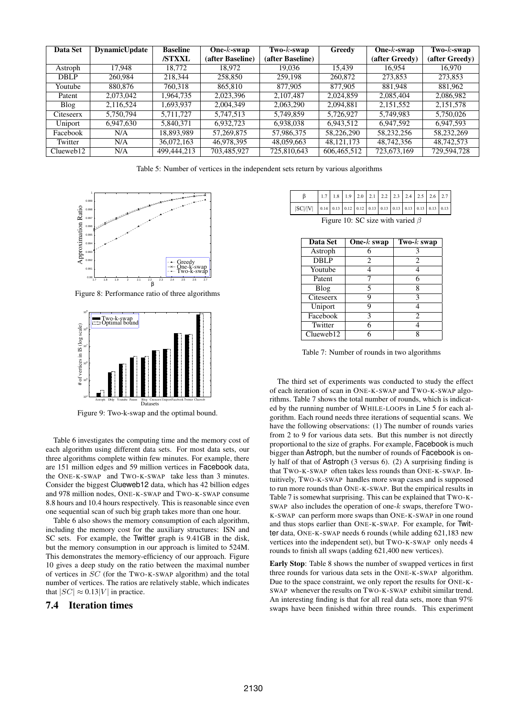| Data Set    | DynamicUpdate | <b>Baseline</b> | One- $k$ -swap   | $Two-k-swap$     | Greedy       | One- $k$ -swap | Two- $k$ -swap |
|-------------|---------------|-----------------|------------------|------------------|--------------|----------------|----------------|
|             |               | <b>/STXXL</b>   | (after Baseline) | (after Baseline) |              | (after Greedy) | (after Greedy) |
| Astroph     | 17.948        | 18.772          | 18.972           | 19.036           | 15.439       | 16.954         | 16.970         |
| <b>DBLP</b> | 260.984       | 218,344         | 258,850          | 259,198          | 260,872      | 273,853        | 273,853        |
| Youtube     | 880,876       | 760.318         | 865,810          | 877,905          | 877,905      | 881.948        | 881,962        |
| Patent      | 2,073,042     | 1,964,735       | 2,023,396        | 2.107.487        | 2,024,859    | 2.085.404      | 2,086,982      |
| Blog        | 2,116,524     | 1.693.937       | 2,004,349        | 2.063.290        | 2,094,881    | 2,151,552      | 2,151,578      |
| Citeseerx   | 5,750,794     | 5,711,727       | 5,747,513        | 5,749,859        | 5,726,927    | 5,749,983      | 5,750,026      |
| Uniport     | 6,947,630     | 5,840,371       | 6.932.723        | 6,938,038        | 6,943,512    | 6,947,592      | 6,947,593      |
| Facebook    | N/A           | 18.893.989      | 57,269,875       | 57,986,375       | 58,226,290   | 58.232.256     | 58.232.269     |
| Twitter     | N/A           | 36,072,163      | 46.978.395       | 48.059.663       | 48, 121, 173 | 48.742.356     | 48,742,573     |
| Clueweb12   | N/A           | 499,444,213     | 703.485.927      | 725,810,643      | 606.465.512  | 723,673,169    | 729,594,728    |

Table 5: Number of vertices in the independent sets return by various algorithms



Figure 8: Performance ratio of three algorithms



Figure 9: Two-k-swap and the optimal bound.

Table 6 investigates the computing time and the memory cost of each algorithm using different data sets. For most data sets, our three algorithms complete within few minutes. For example, there are 151 million edges and 59 million vertices in Facebook data, the ONE-K-SWAP and TWO-K-SWAP take less than 3 minutes. Consider the biggest Clueweb12 data, which has 42 billion edges and 978 million nodes, ONE-K-SWAP and TWO-K-SWAP consume 8.8 hours and 10.4 hours respectively. This is reasonable since even one sequential scan of such big graph takes more than one hour.

Table 6 also shows the memory consumption of each algorithm, including the memory cost for the auxiliary structures: ISN and SC sets. For example, the Twitter graph is 9.41GB in the disk, but the memory consumption in our approach is limited to 524M. This demonstrates the memory-efficiency of our approach. Figure 10 gives a deep study on the ratio between the maximal number of vertices in *SC* (for the TWO-K-SWAP algorithm) and the total number of vertices. The ratios are relatively stable, which indicates that  $|SC| \approx 0.13|V|$  in practice.

### 7.4 Iteration times

|                                                                   | $\vert 1.7 \vert 1.8 \vert 1.9 \vert 2.0 \vert 2.1 \vert 2.2 \vert 2.3 \vert 2.4 \vert 2.5 \vert 2.6 \vert 2.7$ |  |  |  |  |  |
|-------------------------------------------------------------------|-----------------------------------------------------------------------------------------------------------------|--|--|--|--|--|
| $ SC / V $ 0.14 0.13 0.12 0.12 0.13 0.13 0.13 0.13 0.13 0.13 0.13 |                                                                                                                 |  |  |  |  |  |

Figure 10: SC size with varied *β*

| Data Set    | One- $k$ swap | Two- $k$ swap  |
|-------------|---------------|----------------|
| Astroph     |               |                |
| <b>DBLP</b> | 2             | 2              |
| Youtube     |               |                |
| Patent      |               | 6              |
| Blog        |               | 8              |
| Citeseerx   | 9             | 3              |
| Uniport     | Q             |                |
| Facebook    | 3             | $\mathfrak{D}$ |
| Twitter     | 6             |                |
| Clueweb12   |               |                |

Table 7: Number of rounds in two algorithms

The third set of experiments was conducted to study the effect of each iteration of scan in ONE-K-SWAP and TWO-K-SWAP algorithms. Table 7 shows the total number of rounds, which is indicated by the running number of WHILE-LOOPs in Line 5 for each algorithm. Each round needs three iterations of sequential scans. We have the following observations: (1) The number of rounds varies from 2 to 9 for various data sets. But this number is not directly proportional to the size of graphs. For example, Facebook is much bigger than Astroph, but the number of rounds of Facebook is only half of that of Astroph (3 versus 6). (2) A surprising finding is that TWO-K-SWAP often takes less rounds than ONE-K-SWAP. Intuitively, TWO-K-SWAP handles more swap cases and is supposed to run more rounds than ONE-K-SWAP. But the empirical results in Table 7 is somewhat surprising. This can be explained that TWO-K-SWAP also includes the operation of one-*k* swaps, therefore TWO-K-SWAP can perform more swaps than ONE-K-SWAP in one round and thus stops earlier than ONE-K-SWAP. For example, for Twitter data, ONE-K-SWAP needs 6 rounds (while adding 621,183 new vertices into the independent set), but TWO-K-SWAP only needs 4 rounds to finish all swaps (adding 621,400 new vertices).

Early Stop: Table 8 shows the number of swapped vertices in first three rounds for various data sets in the ONE-K-SWAP algorithm. Due to the space constraint, we only report the results for ONE-K-SWAP whenever the results on TWO-K-SWAP exhibit similar trend. An interesting finding is that for all real data sets, more than 97% swaps have been finished within three rounds. This experiment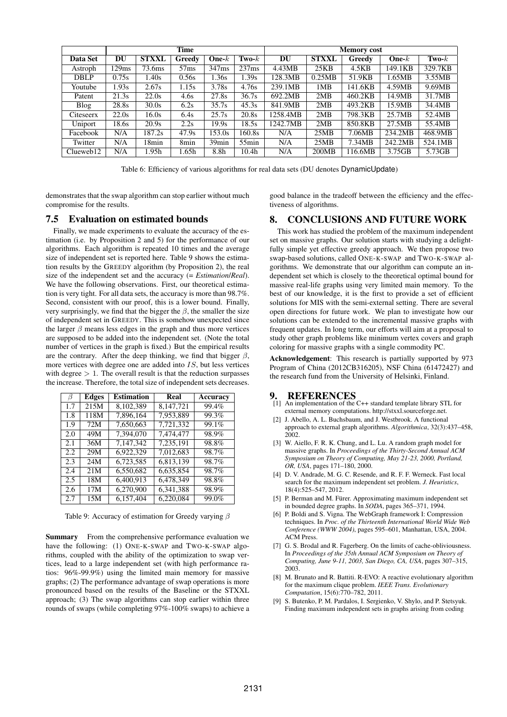|             |       |              | Time   |                   |                   | <b>Memory cost</b> |              |         |          |                 |
|-------------|-------|--------------|--------|-------------------|-------------------|--------------------|--------------|---------|----------|-----------------|
| Data Set    | DU    | <b>STXXL</b> | Greedy | <b>One-</b> $k$   | $Two-k$           | DU                 | <b>STXXL</b> | Greedy  | One- $k$ | <b>Two-</b> $k$ |
| Astroph     | 129ms | 73.6ms       | 57ms   | 347ms             | 237ms             | 4.43MB             | 25KB         | 4.5KB   | 149.1KB  | 329.7KB         |
| <b>DBLP</b> | 0.75s | 1.40s        | 0.56s  | 1.36s             | 1.39s             | 128.3MB            | 0.25MB       | 51.9KB  | 1.65MB   | 3.55MB          |
| Youtube     | 1.93s | 2.67s        | 1.15s  | 3.78s             | 4.76s             | 239.1MB            | 1MB          | 141.6KB | 4.59MB   | 9.69MB          |
| Patent      | 21.3s | 22.0s        | 4.6s   | 27.8s             | 36.7s             | 692.2MB            | 2MB          | 460.2KB | 14.9MB   | 31.7MB          |
| <b>Blog</b> | 28.8s | 30.0s        | 6.2s   | 35.7s             | 45.3s             | 841.9MB            | 2MB          | 493.2KB | 15.9MB   | 34.4MB          |
| Citeseerx   | 22.0s | 16.0s        | 6.4s   | 25.7s             | 20.8s             | 1258.4MB           | 2MB          | 798.3KB | 25.7MB   | 52.4MB          |
| Uniport     | 18.6s | 20.9s        | 2.2s   | 19.9s             | 18.5s             | 1242.7MB           | 2MB          | 850.8KB | 27.5MB   | 55.4MB          |
| Facebook    | N/A   | 187.2s       | 47.9s  | 153.0s            | 160.8s            | N/A                | 25MB         | 7.06MB  | 234.2MB  | 468.9MB         |
| Twitter     | N/A   | 18min        | 8min   | 39 <sub>min</sub> | $55$ min          | N/A                | 25MB         | 7.34MB  | 242.2MB  | 524.1MB         |
| Clueweb12   | N/A   | 1.95h        | l.65h  | 8.8h              | 10.4 <sub>h</sub> | N/A                | 200MB        | 116.6MB | 3.75GB   | 5.73GB          |

Table 6: Efficiency of various algorithms for real data sets (DU denotes DynamicUpdate)

demonstrates that the swap algorithm can stop earlier without much compromise for the results.

good balance in the tradeoff between the efficiency and the effectiveness of algorithms.

# 7.5 Evaluation on estimated bounds

Finally, we made experiments to evaluate the accuracy of the estimation (i.e. by Proposition 2 and 5) for the performance of our algorithms. Each algorithm is repeated 10 times and the average size of independent set is reported here. Table 9 shows the estimation results by the GREEDY algorithm (by Proposition 2), the real size of the independent set and the accuracy (= *Estimation*/*Real*). We have the following observations. First, our theoretical estimation is very tight. For all data sets, the accuracy is more than 98.7%. Second, consistent with our proof, this is a lower bound. Finally, very surprisingly, we find that the bigger the  $\beta$ , the smaller the size of independent set in GREEDY. This is somehow unexpected since the larger  $\beta$  means less edges in the graph and thus more vertices are supposed to be added into the independent set. (Note the total number of vertices in the graph is fixed.) But the empirical results are the contrary. After the deep thinking, we find that bigger  $\beta$ , more vertices with degree one are added into *IS*, but less vertices with degree *>* 1. The overall result is that the reduction surpasses the increase. Therefore, the total size of independent sets decreases.

| ß   | <b>Edges</b> | <b>Estimation</b> | Real      | <b>Accuracy</b> |
|-----|--------------|-------------------|-----------|-----------------|
| 1.7 | 215M         | 8,102,389         | 8,147,721 | 99.4%           |
| 1.8 | 118M         | 7,896,164         | 7,953,889 | 99.3%           |
| 1.9 | 72M          | 7,650,663         | 7,721,332 | 99.1%           |
| 2.0 | 49M          | 7,394,070         | 7,474,477 | 98.9%           |
| 2.1 | 36M          | 7,147,342         | 7,235,191 | 98.8%           |
| 2.2 | 29M          | 6,922,329         | 7,012,683 | 98.7%           |
| 2.3 | 24M          | 6,723,585         | 6,813,139 | 98.7%           |
| 2.4 | 21M          | 6,550,682         | 6,635,854 | 98.7%           |
| 2.5 | 18M          | 6,400,913         | 6,478,349 | 98.8%           |
| 2.6 | 17M          | 6,270,900         | 6,341,388 | 98.9%           |
| 2.7 | 15M          | 6.157.404         | 6.220.084 | 99.0%           |

Table 9: Accuracy of estimation for Greedy varying *β*

Summary From the comprehensive performance evaluation we have the following: (1) ONE-K-SWAP and TWO-K-SWAP algorithms, coupled with the ability of the optimization to swap vertices, lead to a large independent set (with high performance ratios: 96%-99.9%) using the limited main memory for massive graphs; (2) The performance advantage of swap operations is more pronounced based on the results of the Baseline or the STXXL approach; (3) The swap algorithms can stop earlier within three rounds of swaps (while completing 97%-100% swaps) to achieve a

# 8. CONCLUSIONS AND FUTURE WORK

This work has studied the problem of the maximum independent set on massive graphs. Our solution starts with studying a delightfully simple yet effective greedy approach. We then propose two swap-based solutions, called ONE-K-SWAP and TWO-K-SWAP algorithms. We demonstrate that our algorithm can compute an independent set which is closely to the theoretical optimal bound for massive real-life graphs using very limited main memory. To the best of our knowledge, it is the first to provide a set of efficient solutions for MIS with the semi-external setting. There are several open directions for future work. We plan to investigate how our solutions can be extended to the incremental massive graphs with frequent updates. In long term, our efforts will aim at a proposal to study other graph problems like minimum vertex covers and graph coloring for massive graphs with a single commodity PC.

Acknowledgement: This research is partially supported by 973 Program of China (2012CB316205), NSF China (61472427) and the research fund from the University of Helsinki, Finland.

# **REFERENCES**

- [1] An implementation of the C++ standard template library STL for external memory computations. http://stxxl.sourceforge.net.
- [2] J. Abello, A. L. Buchsbaum, and J. Westbrook. A functional approach to external graph algorithms. *Algorithmica*, 32(3):437–458, 2002.
- [3] W. Aiello, F. R. K. Chung, and L. Lu. A random graph model for massive graphs. In *Proceedings of the Thirty-Second Annual ACM Symposium on Theory of Computing, May 21-23, 2000, Portland, OR, USA*, pages 171–180, 2000.
- [4] D. V. Andrade, M. G. C. Resende, and R. F. F. Werneck. Fast local search for the maximum independent set problem. *J. Heuristics*, 18(4):525–547, 2012.
- [5] P. Berman and M. Fürer. Approximating maximum independent set in bounded degree graphs. In *SODA*, pages 365–371, 1994.
- [6] P. Boldi and S. Vigna. The WebGraph framework I: Compression techniques. In *Proc. of the Thirteenth International World Wide Web Conference (WWW 2004)*, pages 595–601, Manhattan, USA, 2004. ACM Press.
- [7] G. S. Brodal and R. Fagerberg. On the limits of cache-obliviousness. In *Proceedings of the 35th Annual ACM Symposium on Theory of Computing, June 9-11, 2003, San Diego, CA, USA*, pages 307–315, 2003.
- [8] M. Brunato and R. Battiti. R-EVO: A reactive evolutionary algorithm for the maximum clique problem. *IEEE Trans. Evolutionary Computation*, 15(6):770–782, 2011.
- [9] S. Butenko, P. M. Pardalos, I. Sergienko, V. Shylo, and P. Stetsyuk. Finding maximum independent sets in graphs arising from coding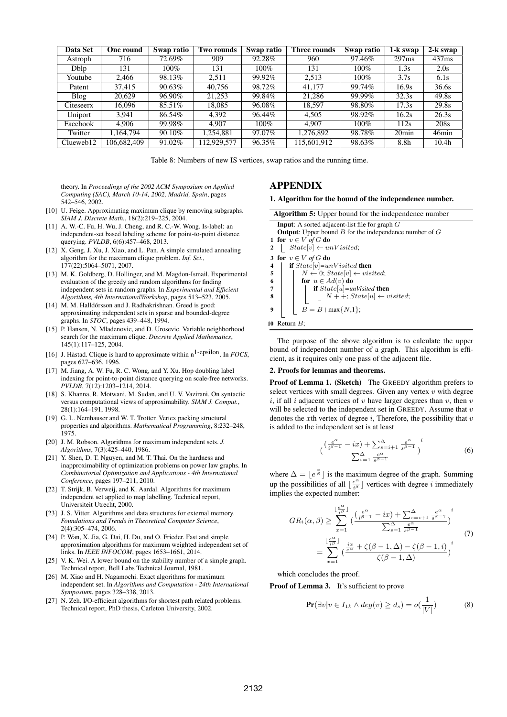| Data Set  | One round   | Swap ratio | <b>Two rounds</b> | Swap ratio | Three rounds | Swap ratio | 1-k swap | 2-k swap          |
|-----------|-------------|------------|-------------------|------------|--------------|------------|----------|-------------------|
| Astroph   | 716         | 72.69%     | 909               | 92.28%     | 960          | 97.46%     | 297ms    | 437ms             |
| Dblp      | 131         | $100\%$    | 131               | 100%       | 131          | $100\%$    | 1.3s     | 2.0s              |
| Youtube   | 2.466       | 98.13%     | 2,511             | 99.92%     | 2.513        | 100%       | 3.7s     | 6.1s              |
| Patent    | 37.415      | 90.63%     | 40.756            | 98.72%     | 41.177       | 99.74%     | 16.9s    | 36.6s             |
| Blog      | 20,629      | 96.90%     | 21,253            | 99.84%     | 21.286       | 99.99%     | 32.3s    | 49.8s             |
| Citeseerx | 16.096      | $85.51\%$  | 18.085            | 96.08%     | 18.597       | 98.80%     | 17.3s    | 29.8s             |
| Uniport   | 3.941       | 86.54%     | 4.392             | 96.44%     | 4.505        | 98.92%     | 16.2s    | 26.3s             |
| Facebook  | 4.906       | 99.98%     | 4.907             | $100\%$    | 4.907        | $100\%$    | 112s     | 208 <sub>s</sub>  |
| Twitter   | 1.164.794   | 90.10%     | 1.254.881         | 97.07%     | 1.276.892    | 98.78%     | $20$ min | 46min             |
| Clueweb12 | 106.682.409 | 91.02%     | 112,929,577       | 96.35%     | 115,601,912  | 98.63%     | 8.8h     | 10.4 <sub>h</sub> |

Table 8: Numbers of new IS vertices, swap ratios and the running time.

theory. In *Proceedings of the 2002 ACM Symposium on Applied Computing (SAC), March 10-14, 2002, Madrid, Spain*, pages 542–546, 2002.

- [10] U. Feige. Approximating maximum clique by removing subgraphs. *SIAM J. Discrete Math.*, 18(2):219–225, 2004.
- [11] A. W.-C. Fu, H. Wu, J. Cheng, and R. C.-W. Wong. Is-label: an independent-set based labeling scheme for point-to-point distance querying. *PVLDB*, 6(6):457–468, 2013.
- [12] X. Geng, J. Xu, J. Xiao, and L. Pan. A simple simulated annealing algorithm for the maximum clique problem. *Inf. Sci.*, 177(22):5064–5071, 2007.
- [13] M. K. Goldberg, D. Hollinger, and M. Magdon-Ismail. Experimental evaluation of the greedy and random algorithms for finding independent sets in random graphs. In *Experimental and Efficient Algorithms, 4th InternationalWorkshop*, pages 513–523, 2005.
- [14] M. M. Halldórsson and J. Radhakrishnan. Greed is good: approximating independent sets in sparse and bounded-degree graphs. In *STOC*, pages 439–448, 1994.
- [15] P. Hansen, N. Mladenovic, and D. Urosevic. Variable neighborhood search for the maximum clique. *Discrete Applied Mathematics*, 145(1):117–125, 2004.
- [16] J. Håstad. Clique is hard to approximate within  $n^{1-\text{epsilon}}$ . In *FOCS*, pages 627–636, 1996.
- [17] M. Jiang, A. W. Fu, R. C. Wong, and Y. Xu. Hop doubling label indexing for point-to-point distance querying on scale-free networks. *PVLDB*, 7(12):1203–1214, 2014.
- [18] S. Khanna, R. Motwani, M. Sudan, and U. V. Vazirani. On syntactic versus computational views of approximability. *SIAM J. Comput.*, 28(1):164–191, 1998.
- [19] G. L. Nemhauser and W. T. Trotter. Vertex packing structural properties and algorithms. *Mathematical Programming*, 8:232–248, 1975.
- [20] J. M. Robson. Algorithms for maximum independent sets. *J. Algorithms*, 7(3):425–440, 1986.
- [21] Y. Shen, D. T. Nguyen, and M. T. Thai. On the hardness and inapproximability of optimization problems on power law graphs. In *Combinatorial Optimization and Applications - 4th International Conference*, pages 197–211, 2010.
- [22] T. Strijk, B. Verweij, and K. Aardal. Algorithms for maximum independent set applied to map labelling. Technical report, Universiteit Utrecht, 2000.
- [23] J. S. Vitter. Algorithms and data structures for external memory. *Foundations and Trends in Theoretical Computer Science*, 2(4):305–474, 2006.
- [24] P. Wan, X. Jia, G. Dai, H. Du, and O. Frieder. Fast and simple approximation algorithms for maximum weighted independent set of links. In *IEEE INFOCOM*, pages 1653–1661, 2014.
- [25] V. K. Wei. A lower bound on the stability number of a simple graph. Technical report, Bell Labs Technical Journal, 1981.
- [26] M. Xiao and H. Nagamochi. Exact algorithms for maximum independent set. In *Algorithms and Computation - 24th International Symposium*, pages 328–338, 2013.
- [27] N. Zeh. I/O-efficient algorithms for shortest path related problems. Technical report, PhD thesis, Carleton University, 2002.

# APPENDIX

#### 1. Algorithm for the bound of the independence number.

| <b>Algorithm 5:</b> Upper bound for the independence number       |  |  |  |  |  |
|-------------------------------------------------------------------|--|--|--|--|--|
| <b>Input:</b> A sorted adjacent-list file for graph $G$           |  |  |  |  |  |
| <b>Output:</b> Upper bound $B$ for the independence number of $G$ |  |  |  |  |  |
| 1 for $v \in V$ of G do                                           |  |  |  |  |  |
| $State[v] \leftarrow unVisted;$<br>2                              |  |  |  |  |  |
| 3 for $v \in V$ of G do                                           |  |  |  |  |  |
| <b>if</b> $State[v] = unVisted$ then<br>4                         |  |  |  |  |  |
| $N \leftarrow 0$ ; State[v] $\leftarrow$ visited;<br>5            |  |  |  |  |  |
| for $u \in Ad(v)$ do<br>6                                         |  |  |  |  |  |
| if $State[u] = un V isited$ then<br>7                             |  |  |  |  |  |
| $ \quad N++,State[u]\leftarrow visited;$<br>8                     |  |  |  |  |  |
| $B = B + max\{N,1\};$<br>9                                        |  |  |  |  |  |
| 10 Return $B$ :                                                   |  |  |  |  |  |

The purpose of the above algorithm is to calculate the upper bound of independent number of a graph. This algorithm is efficient, as it requires only one pass of the adjacent file.

#### 2. Proofs for lemmas and theorems.

Proof of Lemma 1. (Sketch) The GREEDY algorithm prefers to select vertices with small degrees. Given any vertex *v* with degree  $i$ , if all  $i$  adjacent vertices of  $v$  have larger degrees than  $v$ , then  $v$ will be selected to the independent set in GREEDY. Assume that *v* denotes the *x*th vertex of degree *i*, Therefore, the possibility that *v* is added to the independent set is at least

$$
\left(\frac{\left(\frac{e^{\alpha}}{i^{\beta-1}}-ix\right)+\sum_{s=i+1}^{\Delta}\frac{e^{\alpha}}{s^{\beta-1}}}{\sum_{s=1}^{\Delta}\frac{e^{\alpha}}{s^{\beta-1}}}\right)^{i}\tag{6}
$$

where  $\Delta = |e^{\frac{\alpha}{\beta}}|$  is the maximum degree of the graph. Summing up the possibilities of all  $\left\lfloor \frac{e^{\alpha}}{i^{\beta}} \right\rfloor$  vertices with degree *i* immediately implies the expected number:

$$
GR_i(\alpha, \beta) \geq \sum_{x=1}^{\lfloor \frac{e^{\alpha}}{i^{\beta}} \rfloor} \left( \frac{e^{\alpha}}{i^{\beta - 1}} - ix \right) + \sum_{s=i+1}^{\Delta} \frac{e^{\alpha}}{s^{\beta - 1}} i
$$
  
= 
$$
\sum_{x=1}^{\lfloor \frac{e^{\alpha}}{i^{\beta}} \rfloor} \left( \frac{ix}{e^{\alpha}} + \zeta(\beta - 1, \Delta) - \zeta(\beta - 1, i) \right)^i
$$
 (7)  

$$
= \sum_{x=1}^{\lfloor \frac{e^{\alpha}}{i^{\beta}} \rfloor} \left( \frac{ix}{\zeta(\beta - 1, \Delta)} + \zeta(\beta - 1, i) \right)^i
$$

which concludes the proof.

Proof of Lemma 3. It's sufficient to prove

$$
\mathbf{Pr}(\exists v | v \in I_{1k} \land deg(v) \ge d_s) = o(\frac{1}{|V|})
$$
 (8)